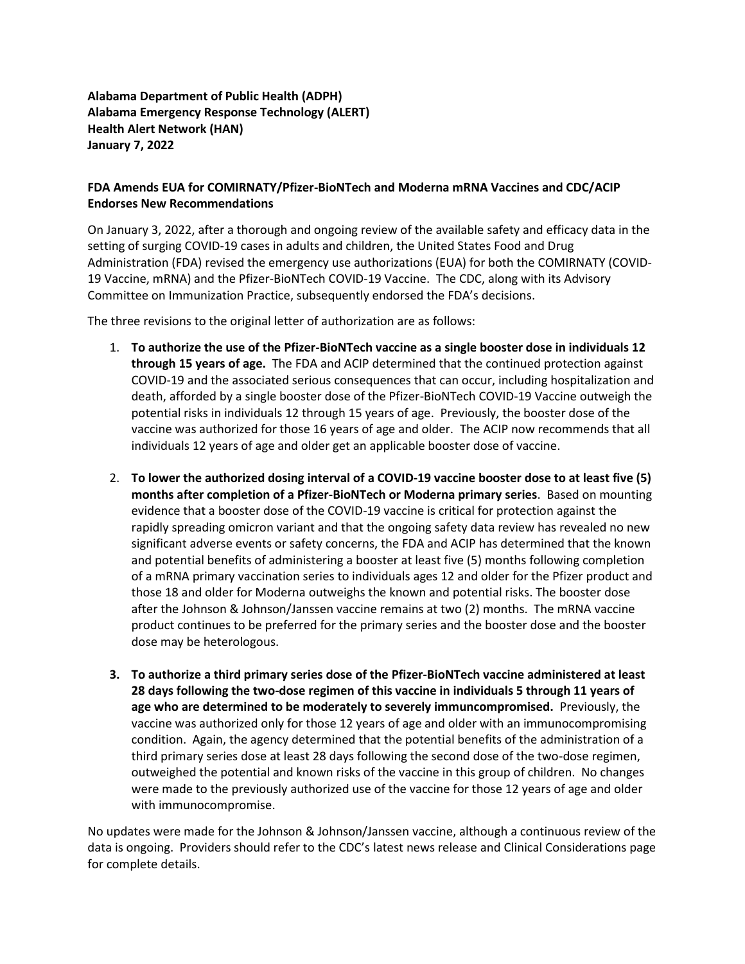## **Alabama Department of Public Health (ADPH) Alabama Emergency Response Technology (ALERT) Health Alert Network (HAN) January 7, 2022**

## **FDA Amends EUA for COMIRNATY/Pfizer-BioNTech and Moderna mRNA Vaccines and CDC/ACIP Endorses New Recommendations**

On January 3, 2022, after a thorough and ongoing review of the available safety and efficacy data in the setting of surging COVID-19 cases in adults and children, the United States Food and Drug Administration (FDA) revised the emergency use authorizations (EUA) for both the COMIRNATY (COVID-19 Vaccine, mRNA) and the Pfizer-BioNTech COVID-19 Vaccine. The CDC, along with its Advisory Committee on Immunization Practice, subsequently endorsed the FDA's decisions.

The three revisions to the original letter of authorization are as follows:

- 1. **To authorize the use of the Pfizer-BioNTech vaccine as a single booster dose in individuals 12 through 15 years of age.** The FDA and ACIP determined that the continued protection against COVID-19 and the associated serious consequences that can occur, including hospitalization and death, afforded by a single booster dose of the Pfizer-BioNTech COVID-19 Vaccine outweigh the potential risks in individuals 12 through 15 years of age. Previously, the booster dose of the vaccine was authorized for those 16 years of age and older. The ACIP now recommends that all individuals 12 years of age and older get an applicable booster dose of vaccine.
- 2. **To lower the authorized dosing interval of a COVID-19 vaccine booster dose to at least five (5) months after completion of a Pfizer-BioNTech or Moderna primary series**. Based on mounting evidence that a booster dose of the COVID-19 vaccine is critical for protection against the rapidly spreading omicron variant and that the ongoing safety data review has revealed no new significant adverse events or safety concerns, the FDA and ACIP has determined that the known and potential benefits of administering a booster at least five (5) months following completion of a mRNA primary vaccination series to individuals ages 12 and older for the Pfizer product and those 18 and older for Moderna outweighs the known and potential risks. The booster dose after the Johnson & Johnson/Janssen vaccine remains at two (2) months. The mRNA vaccine product continues to be preferred for the primary series and the booster dose and the booster dose may be heterologous.
- **3. To authorize a third primary series dose of the Pfizer-BioNTech vaccine administered at least 28 days following the two-dose regimen of this vaccine in individuals 5 through 11 years of age who are determined to be moderately to severely immuncompromised.** Previously, the vaccine was authorized only for those 12 years of age and older with an immunocompromising condition. Again, the agency determined that the potential benefits of the administration of a third primary series dose at least 28 days following the second dose of the two-dose regimen, outweighed the potential and known risks of the vaccine in this group of children. No changes were made to the previously authorized use of the vaccine for those 12 years of age and older with immunocompromise.

No updates were made for the Johnson & Johnson/Janssen vaccine, although a continuous review of the data is ongoing. Providers should refer to the CDC's latest news release and Clinical Considerations page for complete details.